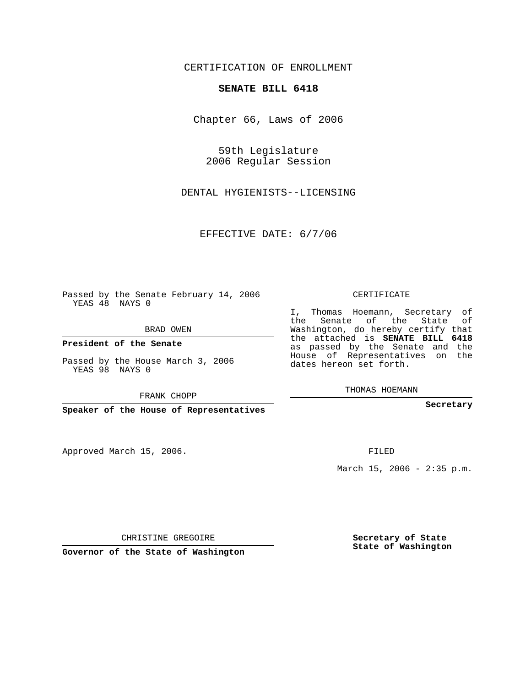## CERTIFICATION OF ENROLLMENT

## **SENATE BILL 6418**

Chapter 66, Laws of 2006

59th Legislature 2006 Regular Session

DENTAL HYGIENISTS--LICENSING

EFFECTIVE DATE: 6/7/06

Passed by the Senate February 14, 2006 YEAS 48 NAYS 0

BRAD OWEN

**President of the Senate**

Passed by the House March 3, 2006 YEAS 98 NAYS 0

FRANK CHOPP

**Speaker of the House of Representatives**

Approved March 15, 2006.

CERTIFICATE

I, Thomas Hoemann, Secretary of the Senate of the State of Washington, do hereby certify that the attached is **SENATE BILL 6418** as passed by the Senate and the House of Representatives on the dates hereon set forth.

THOMAS HOEMANN

**Secretary**

FILED

March 15, 2006 - 2:35 p.m.

CHRISTINE GREGOIRE

**Governor of the State of Washington**

**Secretary of State State of Washington**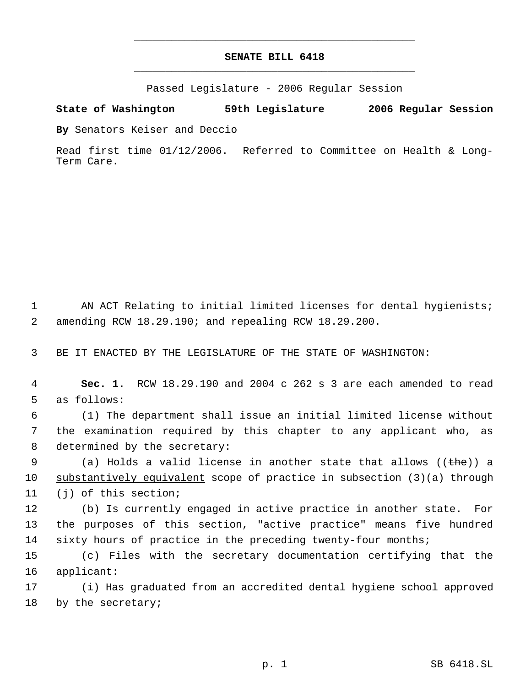## **SENATE BILL 6418** \_\_\_\_\_\_\_\_\_\_\_\_\_\_\_\_\_\_\_\_\_\_\_\_\_\_\_\_\_\_\_\_\_\_\_\_\_\_\_\_\_\_\_\_\_

\_\_\_\_\_\_\_\_\_\_\_\_\_\_\_\_\_\_\_\_\_\_\_\_\_\_\_\_\_\_\_\_\_\_\_\_\_\_\_\_\_\_\_\_\_

Passed Legislature - 2006 Regular Session

**State of Washington 59th Legislature 2006 Regular Session**

**By** Senators Keiser and Deccio

Read first time 01/12/2006. Referred to Committee on Health & Long-Term Care.

1 AN ACT Relating to initial limited licenses for dental hygienists; 2 amending RCW 18.29.190; and repealing RCW 18.29.200.

3 BE IT ENACTED BY THE LEGISLATURE OF THE STATE OF WASHINGTON:

 4 **Sec. 1.** RCW 18.29.190 and 2004 c 262 s 3 are each amended to read 5 as follows:

 6 (1) The department shall issue an initial limited license without 7 the examination required by this chapter to any applicant who, as 8 determined by the secretary:

9 (a) Holds a valid license in another state that allows (( $t$ he)) a 10 substantively equivalent scope of practice in subsection (3)(a) through 11 (j) of this section;

12 (b) Is currently engaged in active practice in another state. For 13 the purposes of this section, "active practice" means five hundred 14 sixty hours of practice in the preceding twenty-four months;

15 (c) Files with the secretary documentation certifying that the 16 applicant:

17 (i) Has graduated from an accredited dental hygiene school approved 18 by the secretary;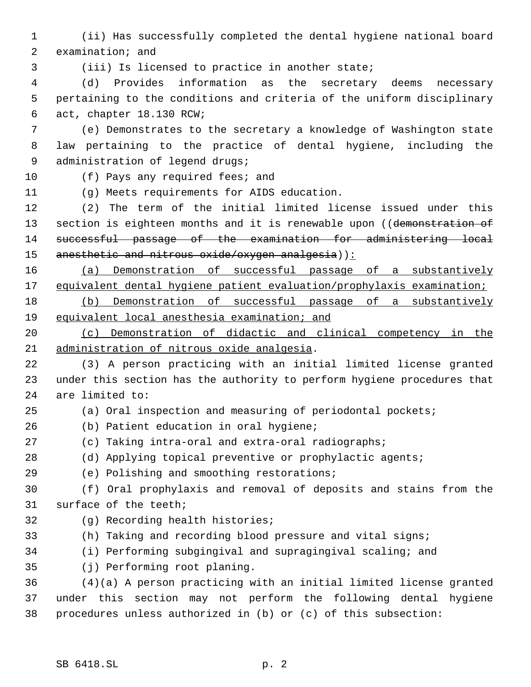(ii) Has successfully completed the dental hygiene national board examination; and

(iii) Is licensed to practice in another state;

 (d) Provides information as the secretary deems necessary pertaining to the conditions and criteria of the uniform disciplinary act, chapter 18.130 RCW;

 (e) Demonstrates to the secretary a knowledge of Washington state law pertaining to the practice of dental hygiene, including the administration of legend drugs;

(f) Pays any required fees; and

(g) Meets requirements for AIDS education.

 (2) The term of the initial limited license issued under this 13 section is eighteen months and it is renewable upon ((demonstration of successful passage of the examination for administering local 15 anesthetic and nitrous oxide/oxygen analgesia)):

 (a) Demonstration of successful passage of a substantively 17 equivalent dental hygiene patient evaluation/prophylaxis examination;

 (b) Demonstration of successful passage of a substantively equivalent local anesthesia examination; and

 (c) Demonstration of didactic and clinical competency in the administration of nitrous oxide analgesia.

- (3) A person practicing with an initial limited license granted under this section has the authority to perform hygiene procedures that are limited to:
- 

(a) Oral inspection and measuring of periodontal pockets;

- (b) Patient education in oral hygiene;
- (c) Taking intra-oral and extra-oral radiographs;
- (d) Applying topical preventive or prophylactic agents;
- (e) Polishing and smoothing restorations;

 (f) Oral prophylaxis and removal of deposits and stains from the surface of the teeth;

- (g) Recording health histories;
- (h) Taking and recording blood pressure and vital signs;
- (i) Performing subgingival and supragingival scaling; and

(j) Performing root planing.

 (4)(a) A person practicing with an initial limited license granted under this section may not perform the following dental hygiene procedures unless authorized in (b) or (c) of this subsection: